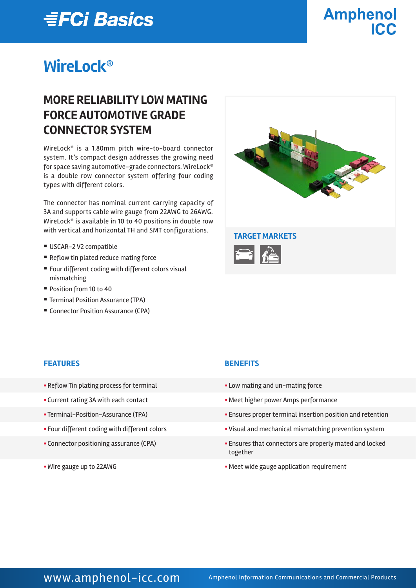# *≣FCi Basics*

# **Amphenol** ICC.

# **WireLock®**

# **MORE RELIABILITY LOW MATING FORCE AUTOMOTIVE GRADE CONNECTOR SYSTEM**

WireLock® is a 1.80mm pitch wire-to-board connector system. It's compact design addresses the growing need for space saving automotive-grade connectors. WireLock® is a double row connector system offering four coding types with different colors.

The connector has nominal current carrying capacity of 3A and supports cable wire gauge from 22AWG to 26AWG. WireLock® is available in 10 to 40 positions in double row with vertical and horizontal TH and SMT configurations. **TARGET MARKETS**

- USCAR-2 V2 compatible
- Reflow tin plated reduce mating force
- Four different coding with different colors visual mismatching
- Position from 10 to 40
- Terminal Position Assurance (TPA)
- Connector Position Assurance (CPA)



#### **FEATURES BENEFITS**

- Reflow Tin plating process for terminal **Example 20** Low mating and un-mating force
- 
- 
- 
- 
- 

- 
- Current rating 3A with each contact **Exercise 2** Meet higher power Amps performance
- Terminal-Position-Assurance (TPA) **•** Ensures proper terminal insertion position and retention
- Four different coding with different colors  **Visual and mechanical mismatching prevention system**
- § Connector positioning assurance (CPA) § Ensures that connectors are properly mated and locked together
- Wire gauge up to 22AWG **EXECUTE:** Neet wide gauge application requirement

### WWW.amphenol-icc.com Amphenol Information Communications and Commercial Products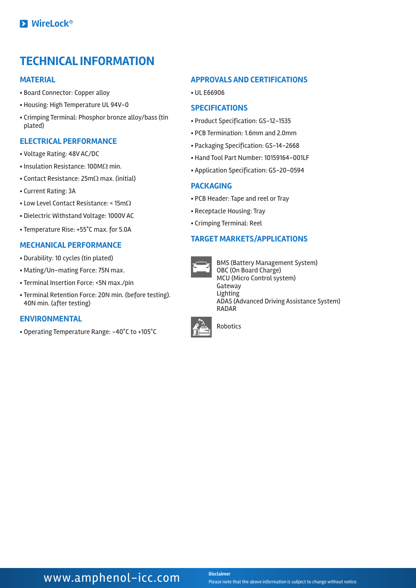# **TECHNICAL INFORMATION**

#### **MATERIAL**

- § Board Connector: Copper alloy
- § Housing: High Temperature UL 94V-0
- § Crimping Terminal: Phosphor bronze alloy/bass (tin plated)

#### **ELECTRICAL PERFORMANCE**

- § Voltage Rating: 48V AC/DC
- Insulation Resistance: 100MΩ min.
- Contact Resistance: 25mΩ max. (initial)
- § Current Rating: 3A
- § Low Level Contact Resistance: < 15mΩ
- § Dielectric Withstand Voltage: 1000V AC
- § Temperature Rise: +55°C max. for 5.0A

#### **MECHANICAL PERFORMANCE**

- § Durability: 10 cycles (tin plated)
- § Mating/Un-mating Force: 75N max.
- § Terminal Insertion Force: <5N max./pin
- § Terminal Retention Force: 20N min. (before testing). 40N min. (after testing)

#### **ENVIRONMENTAL**

§ Operating Temperature Range: -40°C to +105°C

#### **APPROVALS AND CERTIFICATIONS**

§ UL E66906

#### **SPECIFICATIONS**

- § Product Specification: GS-12-1535
- § PCB Termination: 1.6mm and 2.0mm
- § Packaging Specification: GS-14-2668
- § Hand Tool Part Number: 10159164-001LF
- § Application Specification: GS-20-0594

#### **PACKAGING**

- § PCB Header: Tape and reel or Tray
- § Receptacle Housing: Tray
- § Crimping Terminal: Reel

#### **TARGET MARKETS/APPLICATIONS**



BMS (Battery Management System) OBC (On Board Charge) MCU (Micro Control system) Gateway Lighting ADAS (Advanced Driving Assistance System) RADAR



Robotics

**WWW.amphenol-icc.com** Disclaimer

Please note that the above information is subject to change without notice.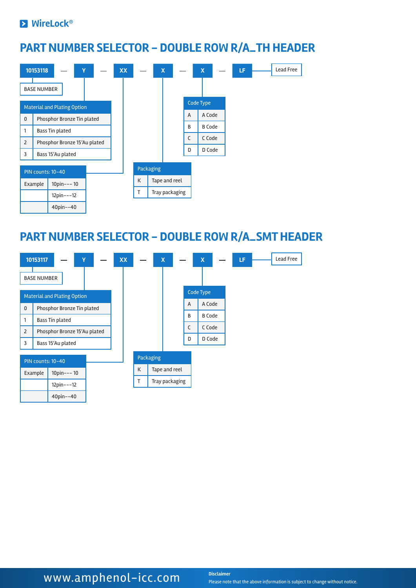#### **EX** WireLock®

## **PART NUMBER SELECTOR - DOUBLE ROW R/A\_TH HEADER**



### **PART NUMBER SELECTOR - DOUBLE ROW R/A\_SMT HEADER**



# **WWW.amphenol-icc.com** Disclaimer

Please note that the above information is subject to change without notice.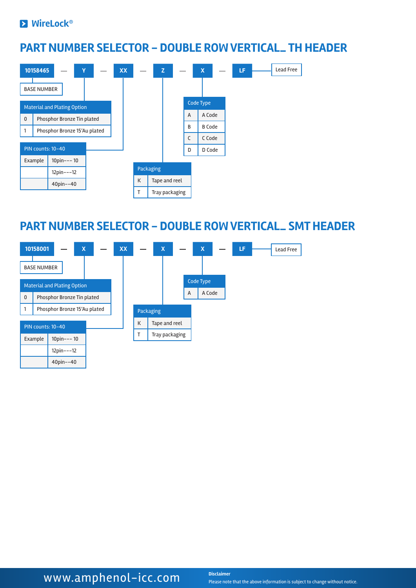#### **EX** WireLock®

40pin--40

### **PART NUMBER SELECTOR - DOUBLE ROW VERTICAL\_ TH HEADER**



### **PART NUMBER SELECTOR - DOUBLE ROW VERTICAL\_ SMT HEADER**



# **WWW.amphenol-icc.com** Disclaimer

Please note that the above information is subject to change without notice.